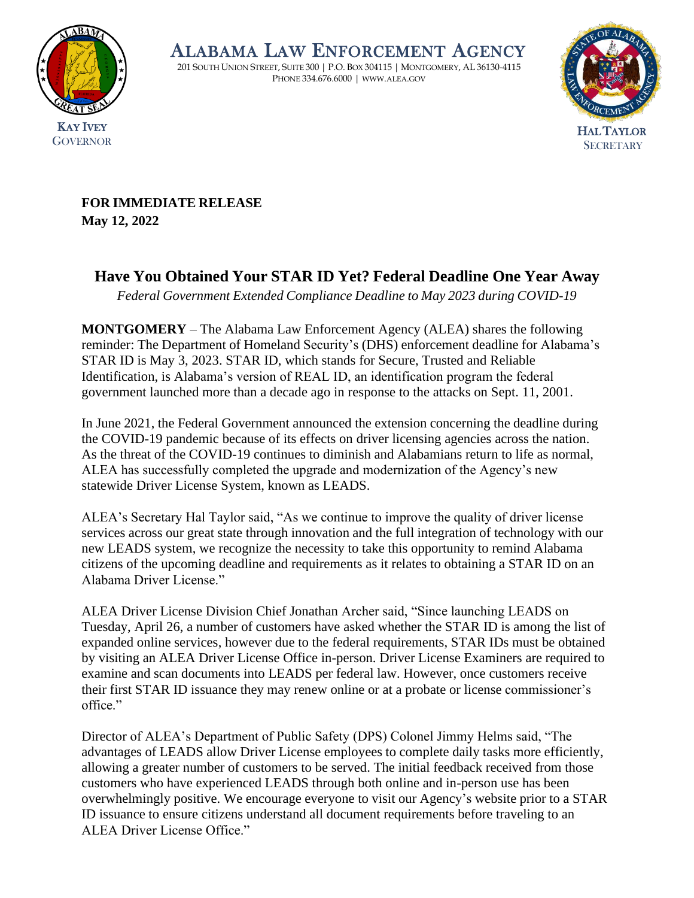

ALABAMA LAW ENFORCEMENT AGENCY

201 SOUTH UNION STREET, SUITE 300 | P.O. BOX 304115 | MONTGOMERY, AL 36130-4115 PHONE 334.676.6000 | [WWW](http://www.alea.gov/).ALEA.GOV



**FOR IMMEDIATE RELEASE May 12, 2022**

## **Have You Obtained Your STAR ID Yet? Federal Deadline One Year Away**

*Federal Government Extended Compliance Deadline to May 2023 during COVID-19*

**MONTGOMERY** – The Alabama Law Enforcement Agency (ALEA) shares the following reminder: The Department of Homeland Security's (DHS) enforcement deadline for Alabama's STAR ID is May 3, 2023. STAR ID, which stands for Secure, Trusted and Reliable Identification, is Alabama's version of REAL ID, an identification program the federal government launched more than a decade ago in response to the attacks on Sept. 11, 2001.

In June 2021, the Federal Government announced the extension concerning the deadline during the COVID-19 pandemic because of its effects on driver licensing agencies across the nation. As the threat of the COVID-19 continues to diminish and Alabamians return to life as normal, ALEA has successfully completed the upgrade and modernization of the Agency's new statewide Driver License System, known as LEADS.

ALEA's Secretary Hal Taylor said, "As we continue to improve the quality of driver license services across our great state through innovation and the full integration of technology with our new LEADS system, we recognize the necessity to take this opportunity to remind Alabama citizens of the upcoming deadline and requirements as it relates to obtaining a STAR ID on an Alabama Driver License."

ALEA Driver License Division Chief Jonathan Archer said, "Since launching LEADS on Tuesday, April 26, a number of customers have asked whether the STAR ID is among the list of expanded online services, however due to the federal requirements, STAR IDs must be obtained by visiting an ALEA Driver License Office in-person. Driver License Examiners are required to examine and scan documents into LEADS per federal law. However, once customers receive their first STAR ID issuance they may renew online or at a probate or license commissioner's office."

Director of ALEA's Department of Public Safety (DPS) Colonel Jimmy Helms said, "The advantages of LEADS allow Driver License employees to complete daily tasks more efficiently, allowing a greater number of customers to be served. The initial feedback received from those customers who have experienced LEADS through both online and in-person use has been overwhelmingly positive. We encourage everyone to visit our Agency's website prior to a STAR ID issuance to ensure citizens understand all document requirements before traveling to an ALEA Driver License Office."